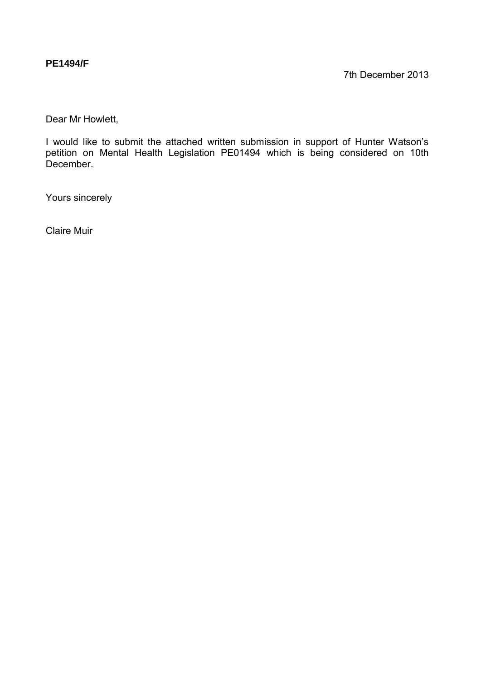## **PE1494/F**

Dear Mr Howlett,

I would like to submit the attached written submission in support of Hunter Watson's petition on Mental Health Legislation PE01494 which is being considered on 10th December.

Yours sincerely

Claire Muir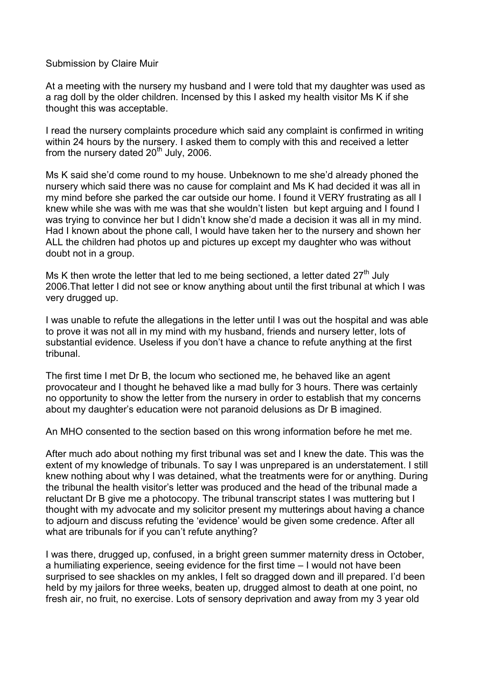## Submission by Claire Muir

At a meeting with the nursery my husband and I were told that my daughter was used as a rag doll by the older children. Incensed by this I asked my health visitor Ms K if she thought this was acceptable.

I read the nursery complaints procedure which said any complaint is confirmed in writing within 24 hours by the nursery. I asked them to comply with this and received a letter from the nursery dated  $20<sup>th</sup>$  July, 2006.

Ms K said she'd come round to my house. Unbeknown to me she'd already phoned the nursery which said there was no cause for complaint and Ms K had decided it was all in my mind before she parked the car outside our home. I found it VERY frustrating as all I knew while she was with me was that she wouldn't listen but kept arguing and I found I was trying to convince her but I didn't know she'd made a decision it was all in my mind. Had I known about the phone call, I would have taken her to the nursery and shown her ALL the children had photos up and pictures up except my daughter who was without doubt not in a group.

Ms K then wrote the letter that led to me being sectioned, a letter dated  $27<sup>th</sup>$  July 2006.That letter I did not see or know anything about until the first tribunal at which I was very drugged up.

I was unable to refute the allegations in the letter until I was out the hospital and was able to prove it was not all in my mind with my husband, friends and nursery letter, lots of substantial evidence. Useless if you don't have a chance to refute anything at the first tribunal.

The first time I met Dr B, the locum who sectioned me, he behaved like an agent provocateur and I thought he behaved like a mad bully for 3 hours. There was certainly no opportunity to show the letter from the nursery in order to establish that my concerns about my daughter's education were not paranoid delusions as Dr B imagined.

An MHO consented to the section based on this wrong information before he met me.

After much ado about nothing my first tribunal was set and I knew the date. This was the extent of my knowledge of tribunals. To say I was unprepared is an understatement. I still knew nothing about why I was detained, what the treatments were for or anything. During the tribunal the health visitor's letter was produced and the head of the tribunal made a reluctant Dr B give me a photocopy. The tribunal transcript states I was muttering but I thought with my advocate and my solicitor present my mutterings about having a chance to adjourn and discuss refuting the 'evidence' would be given some credence. After all what are tribunals for if you can't refute anything?

I was there, drugged up, confused, in a bright green summer maternity dress in October, a humiliating experience, seeing evidence for the first time – I would not have been surprised to see shackles on my ankles, I felt so dragged down and ill prepared. I'd been held by my jailors for three weeks, beaten up, drugged almost to death at one point, no fresh air, no fruit, no exercise. Lots of sensory deprivation and away from my 3 year old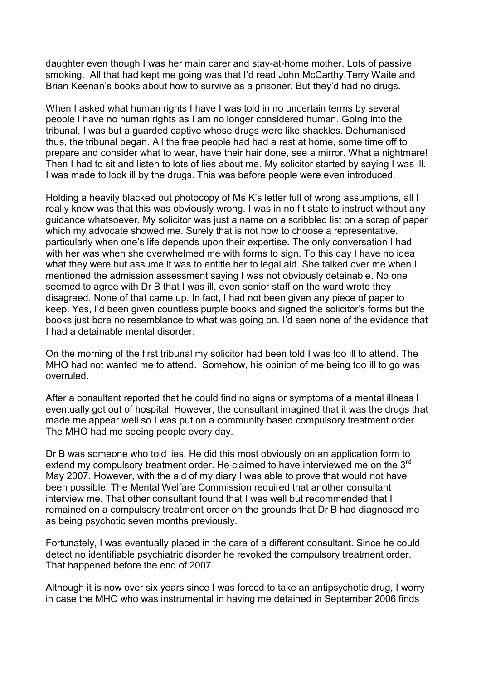daughter even though I was her main carer and stay-at-home mother. Lots of passive smoking. All that had kept me going was that I'd read John McCarthy,Terry Waite and Brian Keenan's books about how to survive as a prisoner. But they'd had no drugs.

When I asked what human rights I have I was told in no uncertain terms by several people I have no human rights as I am no longer considered human. Going into the tribunal, I was but a guarded captive whose drugs were like shackles. Dehumanised thus, the tribunal began. All the free people had had a rest at home, some time off to prepare and consider what to wear, have their hair done, see a mirror. What a nightmare! Then I had to sit and listen to lots of lies about me. My solicitor started by saying I was ill. I was made to look ill by the drugs. This was before people were even introduced.

Holding a heavily blacked out photocopy of Ms K's letter full of wrong assumptions, all I really knew was that this was obviously wrong. I was in no fit state to instruct without any guidance whatsoever. My solicitor was just a name on a scribbled list on a scrap of paper which my advocate showed me. Surely that is not how to choose a representative, particularly when one's life depends upon their expertise. The only conversation I had with her was when she overwhelmed me with forms to sign. To this day I have no idea what they were but assume it was to entitle her to legal aid. She talked over me when I mentioned the admission assessment saying I was not obviously detainable. No one seemed to agree with Dr B that I was ill, even senior staff on the ward wrote they disagreed. None of that came up. In fact, I had not been given any piece of paper to keep. Yes, I'd been given countless purple books and signed the solicitor's forms but the books just bore no resemblance to what was going on. I'd seen none of the evidence that I had a detainable mental disorder.

On the morning of the first tribunal my solicitor had been told I was too ill to attend. The MHO had not wanted me to attend. Somehow, his opinion of me being too ill to go was overruled.

After a consultant reported that he could find no signs or symptoms of a mental illness I eventually got out of hospital. However, the consultant imagined that it was the drugs that made me appear well so I was put on a community based compulsory treatment order. The MHO had me seeing people every day.

Dr B was someone who told lies. He did this most obviously on an application form to extend my compulsory treatment order. He claimed to have interviewed me on the  $3<sup>rd</sup>$ May 2007. However, with the aid of my diary I was able to prove that would not have been possible. The Mental Welfare Commission required that another consultant interview me. That other consultant found that I was well but recommended that I remained on a compulsory treatment order on the grounds that Dr B had diagnosed me as being psychotic seven months previously.

Fortunately, I was eventually placed in the care of a different consultant. Since he could detect no identifiable psychiatric disorder he revoked the compulsory treatment order. That happened before the end of 2007.

Although it is now over six years since I was forced to take an antipsychotic drug, I worry in case the MHO who was instrumental in having me detained in September 2006 finds